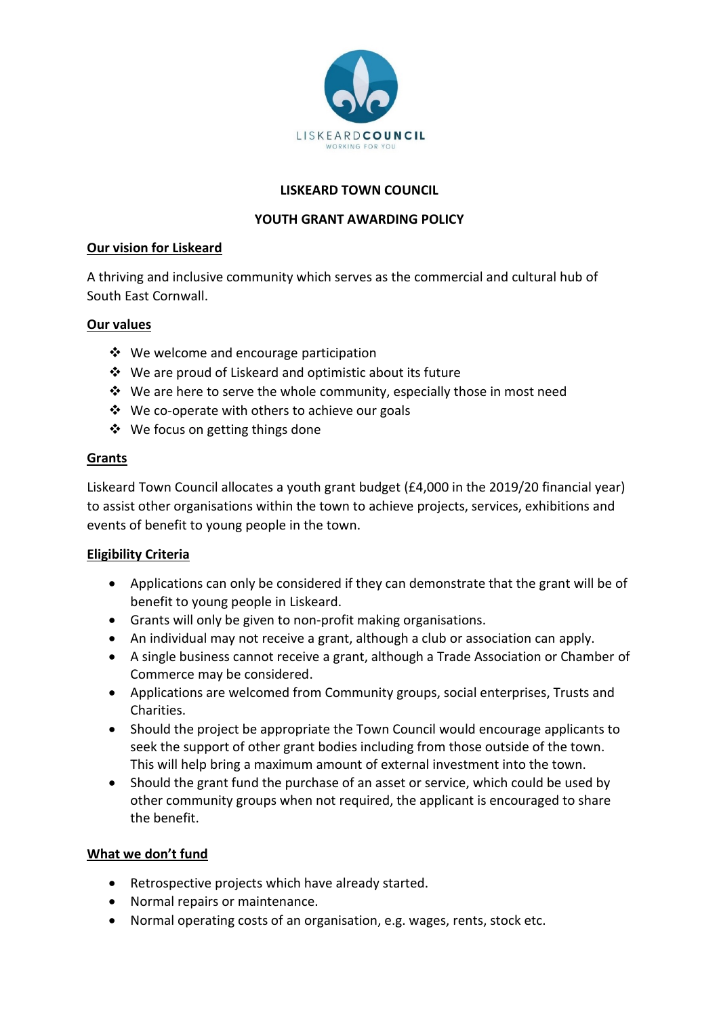

#### **LISKEARD TOWN COUNCIL**

### **YOUTH GRANT AWARDING POLICY**

#### **Our vision for Liskeard**

A thriving and inclusive community which serves as the commercial and cultural hub of South East Cornwall.

#### **Our values**

- ❖ We welcome and encourage participation
- ❖ We are proud of Liskeard and optimistic about its future
- $\dots$  We are here to serve the whole community, especially those in most need
- ❖ We co-operate with others to achieve our goals
- ❖ We focus on getting things done

# **Grants**

Liskeard Town Council allocates a youth grant budget (£4,000 in the 2019/20 financial year) to assist other organisations within the town to achieve projects, services, exhibitions and events of benefit to young people in the town.

# **Eligibility Criteria**

- Applications can only be considered if they can demonstrate that the grant will be of benefit to young people in Liskeard.
- Grants will only be given to non-profit making organisations.
- An individual may not receive a grant, although a club or association can apply.
- A single business cannot receive a grant, although a Trade Association or Chamber of Commerce may be considered.
- Applications are welcomed from Community groups, social enterprises, Trusts and Charities.
- Should the project be appropriate the Town Council would encourage applicants to seek the support of other grant bodies including from those outside of the town. This will help bring a maximum amount of external investment into the town.
- Should the grant fund the purchase of an asset or service, which could be used by other community groups when not required, the applicant is encouraged to share the benefit.

# **What we don't fund**

- Retrospective projects which have already started.
- Normal repairs or maintenance.
- Normal operating costs of an organisation, e.g. wages, rents, stock etc.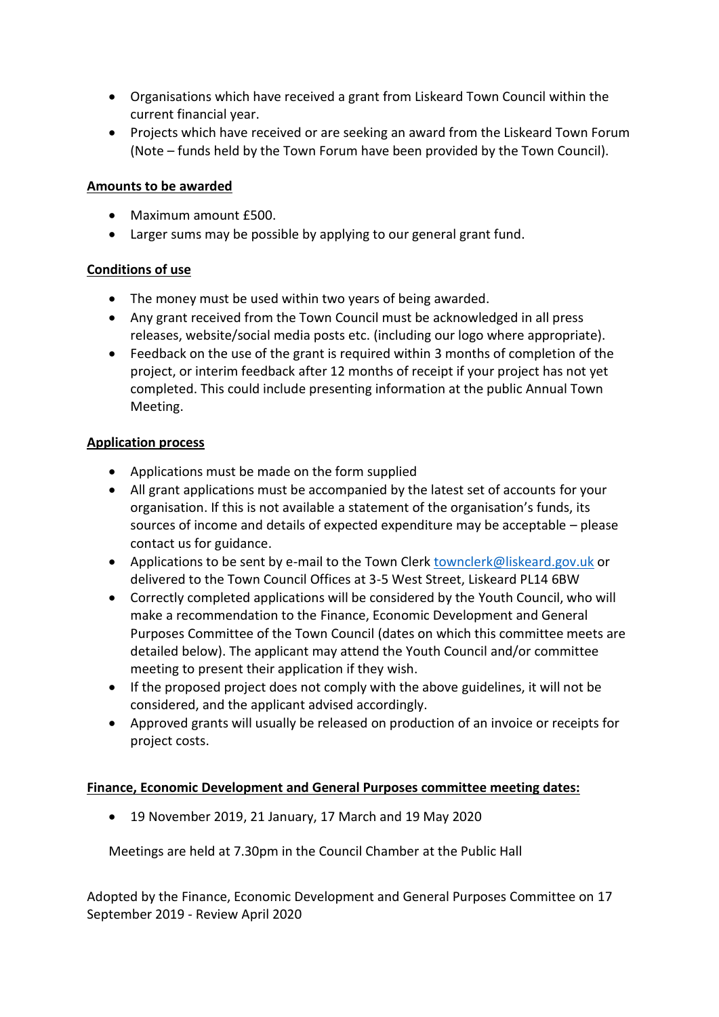- Organisations which have received a grant from Liskeard Town Council within the current financial year.
- Projects which have received or are seeking an award from the Liskeard Town Forum (Note – funds held by the Town Forum have been provided by the Town Council).

### **Amounts to be awarded**

- Maximum amount £500.
- Larger sums may be possible by applying to our general grant fund.

# **Conditions of use**

- The money must be used within two years of being awarded.
- Any grant received from the Town Council must be acknowledged in all press releases, website/social media posts etc. (including our logo where appropriate).
- Feedback on the use of the grant is required within 3 months of completion of the project, or interim feedback after 12 months of receipt if your project has not yet completed. This could include presenting information at the public Annual Town Meeting.

# **Application process**

- Applications must be made on the form supplied
- All grant applications must be accompanied by the latest set of accounts for your organisation. If this is not available a statement of the organisation's funds, its sources of income and details of expected expenditure may be acceptable – please contact us for guidance.
- Applications to be sent by e-mail to the Town Clerk [townclerk@liskeard.gov.uk](mailto:townclerk@liskeard.gov.uk) or delivered to the Town Council Offices at 3-5 West Street, Liskeard PL14 6BW
- Correctly completed applications will be considered by the Youth Council, who will make a recommendation to the Finance, Economic Development and General Purposes Committee of the Town Council (dates on which this committee meets are detailed below). The applicant may attend the Youth Council and/or committee meeting to present their application if they wish.
- If the proposed project does not comply with the above guidelines, it will not be considered, and the applicant advised accordingly.
- Approved grants will usually be released on production of an invoice or receipts for project costs.

# **Finance, Economic Development and General Purposes committee meeting dates:**

• 19 November 2019, 21 January, 17 March and 19 May 2020

Meetings are held at 7.30pm in the Council Chamber at the Public Hall

Adopted by the Finance, Economic Development and General Purposes Committee on 17 September 2019 - Review April 2020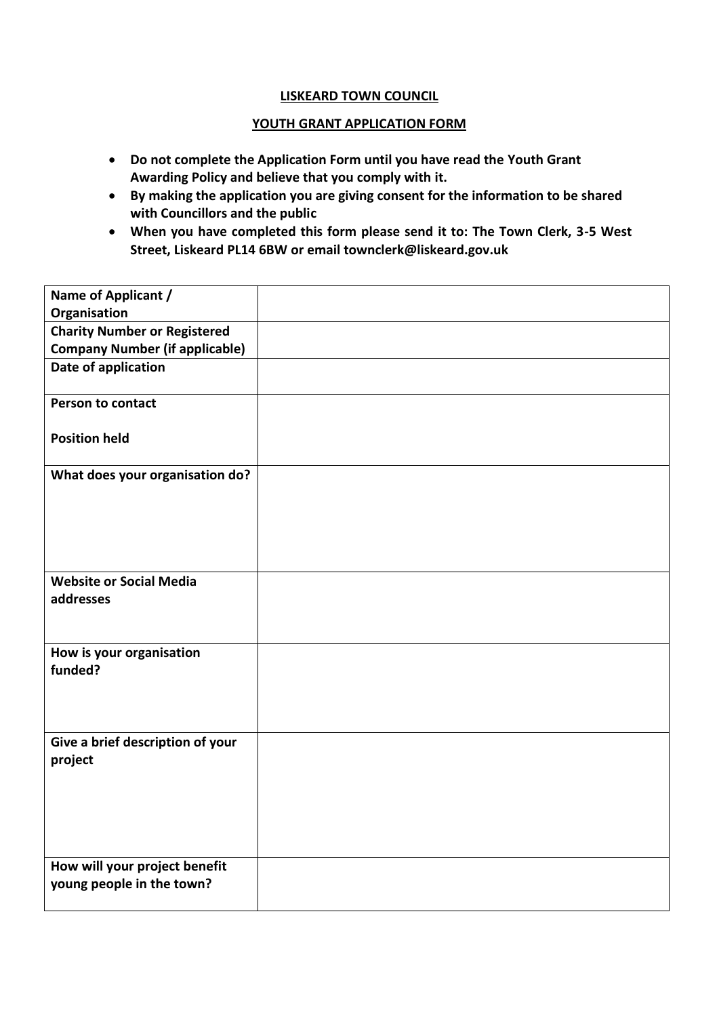#### **LISKEARD TOWN COUNCIL**

#### **YOUTH GRANT APPLICATION FORM**

- **Do not complete the Application Form until you have read the Youth Grant Awarding Policy and believe that you comply with it.**
- **By making the application you are giving consent for the information to be shared with Councillors and the public**
- **When you have completed this form please send it to: The Town Clerk, 3-5 West Street, Liskeard PL14 6BW or email townclerk@liskeard.gov.uk**

| Name of Applicant /                   |  |
|---------------------------------------|--|
| Organisation                          |  |
| <b>Charity Number or Registered</b>   |  |
| <b>Company Number (if applicable)</b> |  |
| Date of application                   |  |
| <b>Person to contact</b>              |  |
| <b>Position held</b>                  |  |
| What does your organisation do?       |  |
|                                       |  |
|                                       |  |
|                                       |  |
|                                       |  |
| <b>Website or Social Media</b>        |  |
| addresses                             |  |
|                                       |  |
| How is your organisation              |  |
| funded?                               |  |
|                                       |  |
|                                       |  |
|                                       |  |
| Give a brief description of your      |  |
| project                               |  |
|                                       |  |
|                                       |  |
|                                       |  |
|                                       |  |
| How will your project benefit         |  |
| young people in the town?             |  |
|                                       |  |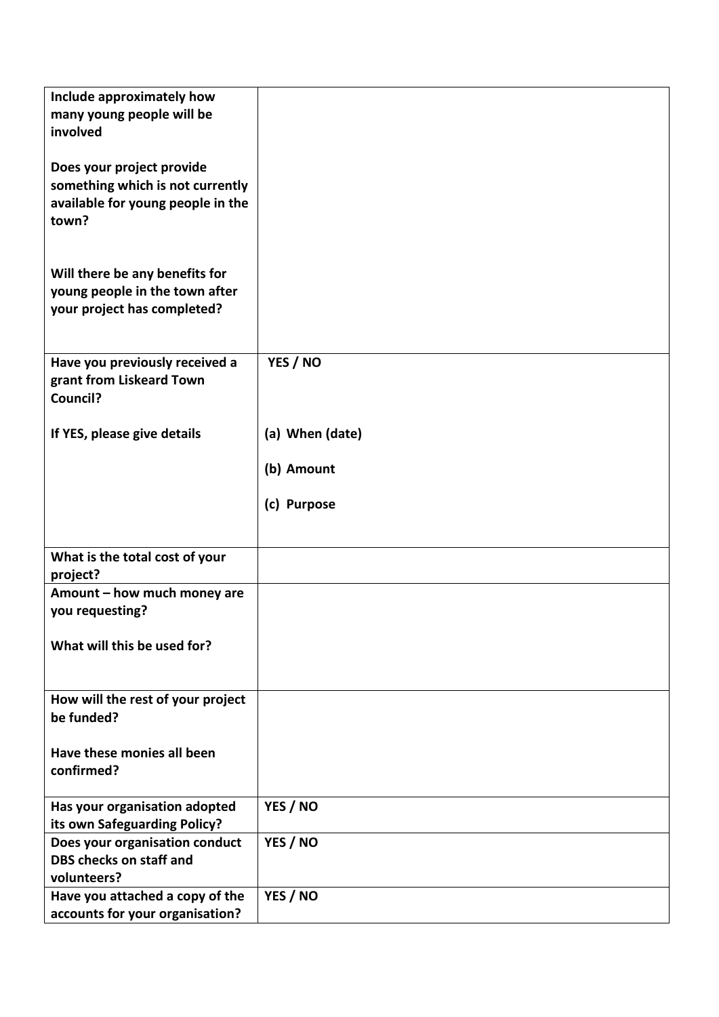| Include approximately how<br>many young people will be<br>involved                                          |                 |
|-------------------------------------------------------------------------------------------------------------|-----------------|
| Does your project provide<br>something which is not currently<br>available for young people in the<br>town? |                 |
| Will there be any benefits for<br>young people in the town after<br>your project has completed?             |                 |
| Have you previously received a<br>grant from Liskeard Town<br>Council?                                      | YES / NO        |
| If YES, please give details                                                                                 | (a) When (date) |
|                                                                                                             | (b) Amount      |
|                                                                                                             | (c) Purpose     |
| What is the total cost of your<br>project?                                                                  |                 |
| Amount - how much money are<br>you requesting?                                                              |                 |
| What will this be used for?                                                                                 |                 |
| How will the rest of your project<br>be funded?                                                             |                 |
| Have these monies all been<br>confirmed?                                                                    |                 |
| Has your organisation adopted                                                                               | YES / NO        |
| Does your organisation conduct<br>DBS checks on staff and<br>volunteers?                                    | YES / NO        |
| Have you attached a copy of the                                                                             | YES / NO        |
| its own Safeguarding Policy?<br>accounts for your organisation?                                             |                 |